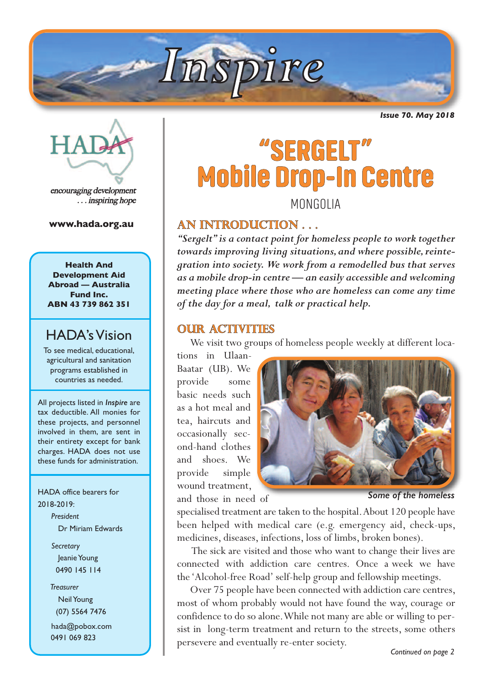

*Issue 70. May 2018*



encouraging development . . . inspiring hope

**www.hada.org.au**

**Health And Development Aid Abroad — Australia Fund Inc. ABN 43 739 862 351**

### **HADA's Vision**

To see medical, educational, agricultural and sanitation programs established in countries as needed.

All projects listed in *Inspire* are tax deductible. All monies for these projects, and personnel involved in them, are sent in their entirety except for bank charges. HADA does not use these funds for administration.

HADA office bearers for 2018-2019:

> *President* Dr Miriam Edwards

*Secretary* Jeanie Young 0490 145 114

*Treasurer* **Neil Young** (07) 5564 7476

hada@pobox.com 0491 069 823

# **"SERGELT" Mobile Drop-In Centre** MONGOLIA

**An introduction . . .** 

*"Sergelt"is a contact point for homeless people to work together towards improving living situations,and where possible,reintegration into society. We work from a remodelled bus that serves as a mobile drop-in centre — an easily accessible and welcoming meeting place where those who are homeless can come any time of the day for a meal, talk or practical help.*

#### **OUR ACTIVITIES**

We visit two groups of homeless people weekly at different loca-

tions in Ulaan-Baatar (UB). We provide some basic needs such as a hot meal and tea, haircuts and occasionally second-hand clothes and shoes. We provide simple wound treatment, and those in need of



*Some of the homeless*

specialised treatment are taken to the hospital.About 120 people have been helped with medical care (e.g. emergency aid, check-ups, medicines, diseases, infections, loss of limbs, broken bones).

 The sick are visited and those who want to change their lives are connected with addiction care centres. Once a week we have the 'Alcohol-free Road' self-help group and fellowship meetings.

 Over 75 people have been connected with addiction care centres, most of whom probably would not have found the way, courage or confidence to do so alone.While not many are able or willing to persist in long-term treatment and return to the streets, some others persevere and eventually re-enter society.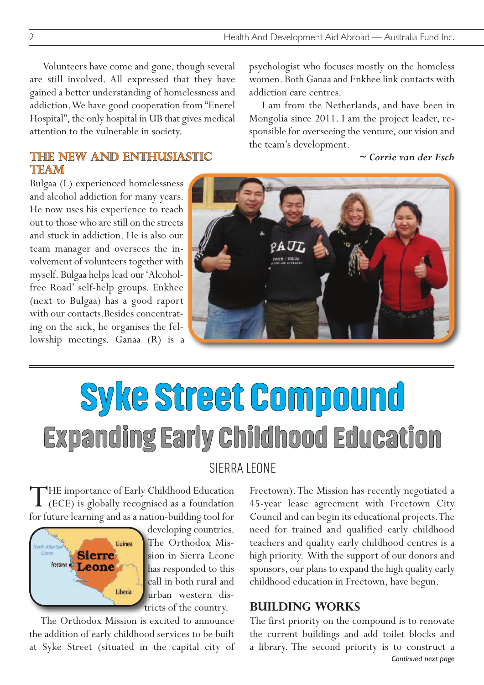addiction care centres.

the team's development.

psychologist who focuses mostly on the homeless women. Both Ganaa and Enkhee link contacts with

I am from the Netherlands, and have been in Mongolia since 2011. I am the project leader, responsible for overseeing the venture, our vision and

*~ Corrie van der Esch*

 Volunteers have come and gone, though several are still involved. All expressed that they have gained a better understanding of homelessness and addiction.We have good cooperation from "Enerel Hospital", the only hospital in UB that gives medical attention to the vulnerable in society.

#### **THE NEW AND ENTHUSIASTIC TEAM**

Bulgaa (L) experienced homelessness and alcohol addiction for many years. He now uses his experience to reach out to those who are still on the streets and stuck in addiction. He is also our team manager and oversees the involvement of volunteers together with myself. Bulgaa helps lead our'Alcoholfree Road' self-help groups. Enkhee (next to Bulgaa) has a good raport with our contacts.Besides concentrating on the sick, he organises the fellowship meetings. Ganaa (R) is a

# **Syke Street Compound Expanding Early Childhood Education**

#### SIERRA LEONE

THE importance of Early Childhood Education<br>
(ECE) is globally recognised as a foundation for future learning and as a nation-building tool for



developing countries. The Orthodox Mission in Sierra Leone has responded to this call in both rural and urban western districts of the country.

The Orthodox Mission is excited to announce the addition of early childhood services to be built at Syke Street (situated in the capital city of Freetown).The Mission has recently negotiated a 45-year lease agreement with Freetown City Council and can begin its educational projects.The need for trained and qualified early childhood teachers and quality early childhood centres is a high priority. With the support of our donors and sponsors, our plans to expand the high quality early childhood education in Freetown, have begun.

#### **Building works**

*Continued next page* The first priority on the compound is to renovate the current buildings and add toilet blocks and a library. The second priority is to construct a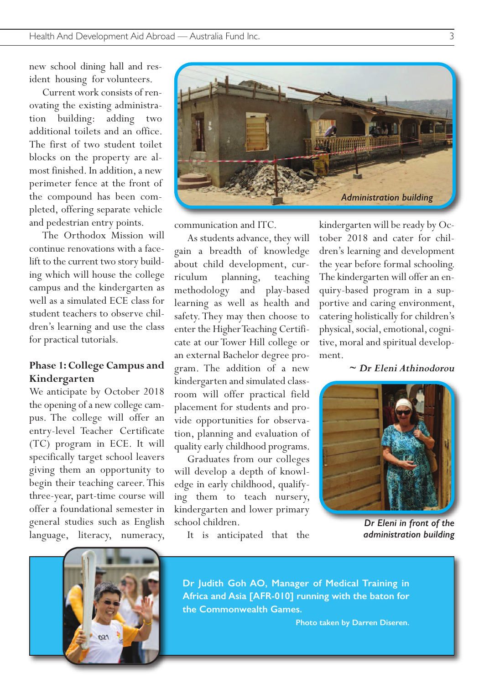new school dining hall and resident housing for volunteers.

 Current work consists of renovating the existing administration building: adding two additional toilets and an office. The first of two student toilet blocks on the property are almost finished. In addition, a new perimeter fence at the front of the compound has been completed, offering separate vehicle and pedestrian entry points.

 The Orthodox Mission will continue renovations with a facelift to the current two story building which will house the college campus and the kindergarten as well as a simulated ECE class for student teachers to observe children's learning and use the class for practical tutorials.

#### **Phase 1:College Campus and Kindergarten**

We anticipate by October 2018 the opening of a new college campus. The college will offer an entry-level Teacher Certificate (TC) program in ECE. It will specifically target school leavers giving them an opportunity to begin their teaching career.This three-year, part-time course will offer a foundational semester in general studies such as English language, literacy, numeracy,





communication and ITC.

 As students advance, they will gain a breadth of knowledge about child development, curriculum planning, teaching methodology and play-based learning as well as health and safety. They may then choose to enter the Higher Teaching Certificate at our Tower Hill college or an external Bachelor degree program. The addition of a new kindergarten and simulated classroom will offer practical field placement for students and provide opportunities for observation, planning and evaluation of quality early childhood programs.

 Graduates from our colleges will develop a depth of knowledge in early childhood, qualifying them to teach nursery, kindergarten and lower primary school children.

It is anticipated that the

kindergarten will be ready by October 2018 and cater for children's learning and development the year before formal schooling. The kindergarten will offer an enquiry-based program in a supportive and caring environment, catering holistically for children's physical, social, emotional, cognitive, moral and spiritual development.

#### *~ Dr Eleni Athinodorou*



*Dr Eleni in front of the administration building*

**Dr Judith Goh AO, Manager of Medical Training in Africa and Asia [AFR-010] running with the baton for the Commonwealth Games.**

**Photo taken by Darren Diseren.**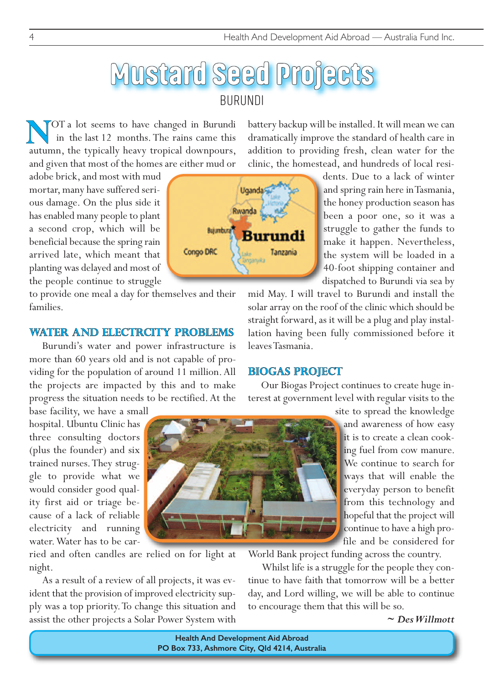# **Mustard Seed Projects** BURUNDI

OT a lot seems to have changed in Burundi in the last 12 months. The rains came this **AUCOT** a lot seems to have changed in Burundi in the last 12 months. The rains came this autumn, the typically heavy tropical downpours, and given that most of the homes are either mud or

adobe brick, and most with mud mortar, many have suffered serious damage. On the plus side it has enabled many people to plant a second crop, which will be beneficial because the spring rain arrived late, which meant that planting was delayed and most of the people continue to struggle

to provide one meal a day for themselves and their families.

#### **water and electrcity problems**

Burundi's water and power infrastructure is more than 60 years old and is not capable of providing for the population of around 11 million.All the projects are impacted by this and to make progress the situation needs to be rectified.At the

base facility, we have a small hospital. Ubuntu Clinic has three consulting doctors (plus the founder) and six trained nurses.They struggle to provide what we would consider good quality first aid or triage because of a lack of reliable electricity and running water.Water has to be car-

ried and often candles are relied on for light at night.

As a result of a review of all projects, it was evident that the provision of improved electricity supply was a top priority.To change this situation and assist the other projects a Solar Power System with

battery backup will be installed. It will mean we can dramatically improve the standard of health care in addition to providing fresh, clean water for the clinic, the homestead, and hundreds of local resi-

> dents. Due to a lack of winter and spring rain here inTasmania, the honey production season has been a poor one, so it was a struggle to gather the funds to make it happen. Nevertheless, the system will be loaded in a 40-foot shipping container and dispatched to Burundi via sea by

mid May. I will travel to Burundi and install the solar array on the roof of the clinic which should be straight forward, as it will be a plug and play installation having been fully commissioned before it leavesTasmania.

#### **biogas project**

Our Biogas Project continues to create huge interest at government level with regular visits to the

> site to spread the knowledge and awareness of how easy it is to create a clean cooking fuel from cow manure. We continue to search for ways that will enable the everyday person to benefit from this technology and hopeful that the project will continue to have a high profile and be considered for

World Bank project funding across the country.

Whilst life is a struggle for the people they continue to have faith that tomorrow will be a better day, and Lord willing, we will be able to continue to encourage them that this will be so.

*~ DesWillmott*

**Health And Development Aid Abroad PO Box 733, Ashmore City, Qld 4214, Australia**

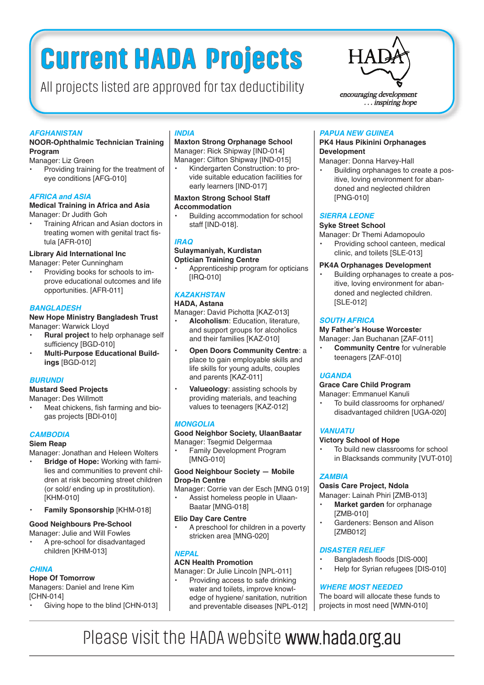# **Current HADA Projects**

All projects listed are approved for tax deductibility  $\sum_{\text{enconaging development}}$ 



... inspiring hope

#### *AFGHANISTAN*

#### **NOOR-Ophthalmic Technician Training Program**

Manager: Liz Green

• Providing training for the treatment of eye conditions [AFG-010]

#### *AFRICA and ASIA*

#### **Medical Training in Africa and Asia** Manager: Dr Judith Goh

• Training African and Asian doctors in treating women with genital tract fistula [AFR-010]

#### **Library Aid International Inc**

Manager: Peter Cunningham

• Providing books for schools to improve educational outcomes and life opportunities. [AFR-011]

#### *BANGLADESH*

#### **New Hope Ministry Bangladesh Trust** Manager: Warwick Lloyd

- **• Rural project** to help orphanage self sufficiency [BGD-010]
- **• Multi-Purpose Educational Buildings** [BGD-012]

#### *BURUNDI*

#### **Mustard Seed Projects**

Manager: Des Willmott

Meat chickens, fish farming and biogas projects [BDI-010]

#### *CAMBODIA*

#### **Siem Reap**

Manager: Jonathan and Heleen Wolters

- **• Bridge of Hope:** Working with families and communities to prevent children at risk becoming street children (or sold/ ending up in prostitution). [KHM-010]
- **• Family Sponsorship** [KHM-018]

#### **Good Neighbours Pre-School**

Manager: Julie and Will Fowles

• A pre-school for disadvantaged children [KHM-013]

#### *CHINA*

#### **Hope Of Tomorrow**

Managers: Daniel and Irene Kim [CHN-014]

Giving hope to the blind [CHN-013]

#### *INDIA*

**Maxton Strong Orphanage School** Manager: Rick Shipway [IND-014] Manager: Clifton Shipway [IND-015]

• Kindergarten Construction: to provide suitable education facilities for early learners [IND-017]

#### **Maxton Strong School Staff Accommodation**

• Building accommodation for school staff [IND-018].

#### *IRAQ*

#### **Sulaymaniyah, Kurdistan Optician Training Centre**

• Apprenticeship program for opticians [IRQ-010]

#### *KAZAKHSTAN*

#### **HADA, Astana** Manager: David Pichotta [KAZ-013]

- **• Alcoholism**: Education, literature, and support groups for alcoholics and their families [KAZ-010]
- **• Open Doors Community Centre**: a place to gain employable skills and life skills for young adults, couples and parents [KAZ-011]
- **• Valueology**: assisting schools by providing materials, and teaching values to teenagers [KAZ-012]

#### *MONGOLIA*

#### **Good Neighbor Society, UlaanBaatar** Manager: Tsegmid Delgermaa

• Family Development Program [MNG-010]

#### **Good Neighbour Society — Mobile Drop-In Centre**

Manager: Corrie van der Esch [MNG 019] • Assist homeless people in Ulaan-Baatar [MNG-018]

#### **Elio Day Care Centre**

• A preschool for children in a poverty stricken area [MNG-020]

#### *NEPAL*

#### **ACN Health Promotion**

Manager: Dr Julie Lincoln [NPL-011]

• Providing access to safe drinking water and toilets, improve knowledge of hygiene/ sanitation, nutrition and preventable diseases [NPL-012]

#### *PAPUA NEW GUINEA*

#### **PK4 Haus Pikinini Orphanages Development**

- Manager: Donna Harvey-Hall
- Building orphanages to create a positive, loving environment for abandoned and neglected children [PNG-010]

#### *SIERRA LEONE*

#### **Syke Street School**

Manager: Dr Themi Adamopoulo

• Providing school canteen, medical clinic, and toilets [SLE-013]

#### **PK4A Orphanages Development**

• Building orphanages to create a positive, loving environment for abandoned and neglected children. [SLE-012]

#### *SOUTH AFRICA*

#### **My Father's House Worceste**r

#### Manager: Jan Buchanan [ZAF-011]

**• Community Centre** for vulnerable teenagers [ZAF-010]

#### *UGANDA*

#### **Grace Care Child Program**

#### Manager: Emmanuel Kanuli

• To build classrooms for orphaned/ disadvantaged children [UGA-020]

#### *VANUATU*

#### **Victory School of Hope**

To build new classrooms for school in Blacksands community [VUT-010]

#### *ZAMBIA*

#### **Oasis Care Project, Ndola**

- Manager: Lainah Phiri [ZMB-013]
- **• Market garden** for orphanage [ZMB-010]
- Gardeners: Benson and Alison [ZMB012]

#### *DISASTER RELIEF*

- Bangladesh floods [DIS-000]
- Help for Syrian refugees [DIS-010]

#### *WHERE MOST NEEDED*

The board will allocate these funds to projects in most need [WMN-010]

## Please visit the HADA website www.hada.org.au